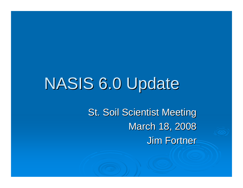# NASIS 6.0 Update

**St. Soil Scientist Meeting** March 18, 2008 **Jim Fortner**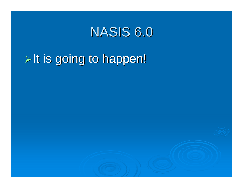## NASIS 6.0

## $\triangleright$  It is going to happen!

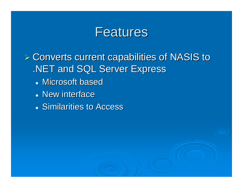#### **Features**

 $\triangleright$  Converts current capabilities of NASIS to .NET and SQL Server Express

- Microsoft based
- New interface
- **Similarities to Access**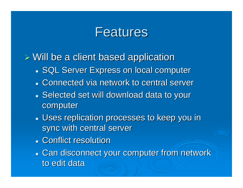### **Features**

- $\triangleright$  Will be a client based application
	- **SQL Server Express on local computer SQL Server Express on local computer**
	- Connected via network to central server
	- Selected set will download data to your computer
	- Uses replication processes to keep you in sync with central server
	- Conflict resolution
	- Can disconnect your computer from network to edit data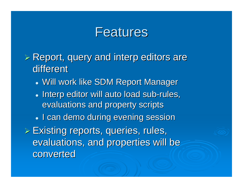#### **Features**

- $\triangleright$  Report, query and interp editors are different
	- Will work like SDM Report Manager
	- Interp editor will auto load sub-rules, evaluations and property scripts
	- I can demo during evening session

 $\triangleright$  Existing reports, queries, rules, evaluations, and properties will be converted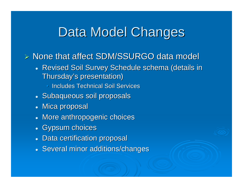## Data Model Changes

- $\triangleright$  None that affect SDM/SSURGO data model
	- Revised Soil Survey Schedule schema (details in Thursday's presentation)
		- $\bigcirc$ **Includes Technical Soil Services** 1
	- Subaqueous soil proposals
	- $\bullet\,$  Mica proposal
	- More anthropogenic choices
	- Gypsum choices
	- Data certification proposal
	- Several minor additions/changes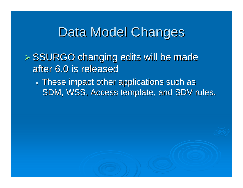### Data Model Changes

- $>$  SSURGO changing edits will be made after 6.0 is released
	- $\bullet$  These impact other applications such as SDM, WSS, Access template, and SDV rules.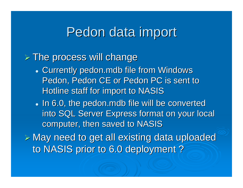### Pedon data import

#### $\triangleright$  The process will change

- Currently pedon.mdb file from Windows Pedon, Pedon CE or Pedon PC is sent to Hotline staff for import to NASIS
- $\bullet\,$  In 6.0, the pedon.mdb file will be converted into SQL Server Express format on your local computer, then saved to NASIS

 $\triangleright$  May need to get all existing data uploaded to NASIS prior to 6.0 deployment ?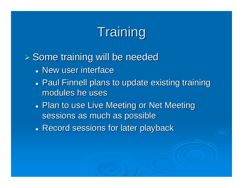# Training

#### $>$  Some training will be needed

- New user interface
- Paul Finnell plans to update existing training modules he uses
- Plan to use Live Meeting or Net Meeting sessions as much as possible
- **Record sessions for later playback**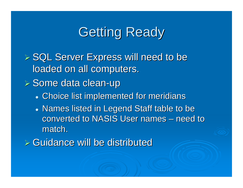## **Getting Ready**

 $\triangleright$  SQL Server Express will need to be loaded on all computers.

≻ Some data clean-up

- **Choice list implemented for meridians**
- Names listed in Legend Staff table to be converted to NASIS User names and the NASIS User names – $-$  need to  $\,$ match.
- $\triangleright$  Guidance will be distributed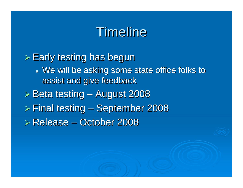## Timeline

 $\triangleright$  Early testing has begun • We will be asking some state office folks to assist and give feedback  $\triangleright$  Beta testing – August 2008  $\triangleright$  Final testing – September 2008  $\triangleright$  Release – October 2008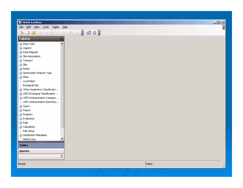#### **秘NASIS 6.0 Beta**

File Edit View Tools Tables Help

#### 

 $\prec$ 

 $\ddot{\dot{}}$ 

| <b>Tables</b>                                 |
|-----------------------------------------------|
| <b>H</b> -Area Type                           |
| <b>+</b> Legend                               |
| + Data Mapunit                                |
| $+$ Site Association                          |
| $H$ Transect                                  |
| $+$ Site                                      |
| $H$ Pedon                                     |
| <b>+</b> Geomorphic Feature Type              |
| + Plant                                       |
| <sup>i…</sup> Local Plant                     |
| i— Ecological Site                            |
| <b>A</b> Other Vegetative Classificatio       |
| $\overline{+}$ USFS Ecological Classification |
| $\Box$ USFS Interpretation Category           |
| USFS Interpretation Restrictio                |
| $+$ Query                                     |
| $+$ Report                                    |
| + Property                                    |
| + Evaluation                                  |
| $+$ Rule                                      |
| $+$ Calculation                               |
| ¦— Edit Setup                                 |
| <b>B</b> . Distribution Metadata              |
| ⊱ NASIS User<br>,,,,,,,,,,                    |
| Tables                                        |

 $\Box$ 

 $\vert$  =  $\vert$ 

Ready

Queries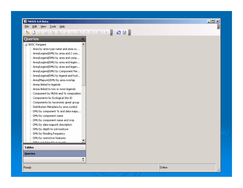#### **秘NASIS 6.0 Beta**

Edit View Tools Help File

#### $\textbf{S} \cup \textbf{S} \cup \textbf{S} \cup \textbf{S} \cup \textbf{S} \cup \textbf{S} \cup \textbf{S} \cup \textbf{S} \cup \textbf{S} \cup \textbf{S} \cup \textbf{S} \cup \textbf{S} \cup \textbf{S} \cup \textbf{S} \cup \textbf{S} \cup \textbf{S} \cup \textbf{S} \cup \textbf{S} \cup \textbf{S} \cup \textbf{S} \cup \textbf{S} \cup \textbf{S} \cup \textbf{S} \cup \textbf{S} \cup \textbf{S} \cup \textbf{S} \cup \textbf{S} \cup \textbf{$

 $\overline{\bf{X}}$ 

₹

#### Queries

#### **-** MSSC Pangaea

- ....<br>Area by area type name and area sy…
- Area/Legend/DMU by area and 2 com...
- -Area/Legend/DMU by area and comp...
- Area/Legend/DMU by area and legen...
- Area/Legend/DMU by area and legen...
- Area/Legend/DMU by Component Per...
- Area/Legend/DMU by legend and hyd...
- Area/Mapunit/DMU by area overlap
- Areas linked to legends
- Areas linked to two or more legends
- Component by MLRA and % composition
- Components by Ecological Site ID
- Components by taxonomic great group
- Distribution Metadata by area symbol
- DMU by component % and data mapu...
- DMU by component name
- DMU by component name and crop
- DMU by data mapunit description
- DMU by depth to soil moisture
- DMU by flooding frequency
- DMU by restrictive features
- DMLIe not linked to manunite

#### **Tables**

**Oueries** 

Ready

 $\Box$  $\Box$  $\times$ 

量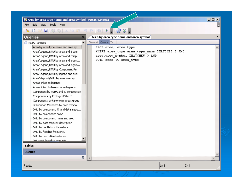Area by area type name and area symbol - NASIS 6.0 Beta

Edit View Tools Help File

#### F Queries  $\mathop{\mathsf{Area}}$  by area type name and area symbol  $\mathop{\mathsf{Area}}$  $\mathbf{x}$  $\ll$ General Query | Text |  $\blacktriangle$ **E**-NSSC Pangaea Area by area type name and area sy... FROM area, area type WHERE area type.area type name IMATCHES ? AND Area/Legend/DMU by area and 2 com... area.area symbol IMATCHES ? AND -Area/Legend/DMU by area and comp... JOIN area TO area type - Area/Legend/DMU by area and legen... Area/Legend/DMU by area and legen... - Area/Legend/DMU by Component Per... - Area/Legend/DMU by legend and hyd... Area/Mapunit/DMU by area overlap Areas linked to legends Areas linked to two or more legends Component by MLRA and % composition Components by Ecological Site ID Components by taxonomic great group Distribution Metadata by area symbol DMU by component % and data mapu... DMU by component name DMU by component name and crop DMU by data mapunit description DMU by depth to soil moisture DMU by flooding frequency DMU by restrictive features DMLIe not linked to manufilte **Tables Oueries** W.  $\ln 1$ Ch<sub>1</sub> Ready.

 $\Box$   $\times$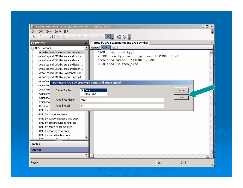| Edit View Tools Help<br>Eile<br>D<br>$\mathcal{L}_{\mathcal{L}}$<br>Area by area type name and area symbol<br>Queries<br>巜<br>General Query Text<br>$\blacktriangle$<br>- NSSC Pangaea<br>Area by area type name and area sy<br>FROM area, area_type<br>WHERE area type.area type name IMATCHES ? AND<br>Area/Legend/DMU by area and 2 com<br>area.area symbol IMATCHES ? AND<br>Area/Legend/DMU by area and comp<br>JOIN area TO area type<br>Area/Legend/DMU by area and legen<br>Area/Legend/DMU by area and legen<br>Area/Legend/DMU by Component Per<br>Area/Legend/DMU by legend and hyd<br>Area/Map parameters Area by area type name and area symbol<br>Areas link<br>Areas link<br>Cancel<br>Target Tables:<br><b>Z</b> Area<br>Compone<br>Area Type<br><b>Run</b><br>Compone<br>Area Type Name<br>non <sup>*</sup><br>Compone<br>al"<br>Area Symbol<br>Distributio<br>DMU by Companising<br>DMU by component name<br>DMU by component name and crop<br>DMU by data mapunit description<br>DMU by depth to soil moisture<br>DMU by flooding frequency | 2 Area by area type name and area symbol - NASIS 6.0 Beta | $-12x$ |
|----------------------------------------------------------------------------------------------------------------------------------------------------------------------------------------------------------------------------------------------------------------------------------------------------------------------------------------------------------------------------------------------------------------------------------------------------------------------------------------------------------------------------------------------------------------------------------------------------------------------------------------------------------------------------------------------------------------------------------------------------------------------------------------------------------------------------------------------------------------------------------------------------------------------------------------------------------------------------------------------------------------------------------------------------------------|-----------------------------------------------------------|--------|
|                                                                                                                                                                                                                                                                                                                                                                                                                                                                                                                                                                                                                                                                                                                                                                                                                                                                                                                                                                                                                                                                |                                                           | E      |
|                                                                                                                                                                                                                                                                                                                                                                                                                                                                                                                                                                                                                                                                                                                                                                                                                                                                                                                                                                                                                                                                |                                                           |        |
|                                                                                                                                                                                                                                                                                                                                                                                                                                                                                                                                                                                                                                                                                                                                                                                                                                                                                                                                                                                                                                                                |                                                           | ×      |
|                                                                                                                                                                                                                                                                                                                                                                                                                                                                                                                                                                                                                                                                                                                                                                                                                                                                                                                                                                                                                                                                |                                                           |        |
| DMLIe not linked to manufile<br><b>Tables</b><br><b>Queries</b><br>$\frac{8}{3}$<br>Ch <sub>1</sub><br>Ready.<br>Ln <sub>1</sub>                                                                                                                                                                                                                                                                                                                                                                                                                                                                                                                                                                                                                                                                                                                                                                                                                                                                                                                               | DMU by restrictive features                               |        |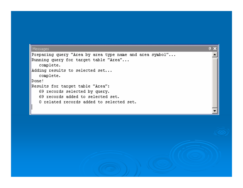| <b>Messages</b>                                          | д x |
|----------------------------------------------------------|-----|
| Preparing query "Area by area type name and area symbol" |     |
| Running query for target table "Area"                    |     |
| complete.                                                |     |
| Adding results to selected set                           |     |
| complete.                                                |     |
| Done!                                                    |     |
| Results for target table "Area":                         |     |
| 69 records selected by query.                            |     |
| 69 records added to selected set.                        |     |
| 0 related records added to selected set.                 |     |
|                                                          |     |
|                                                          |     |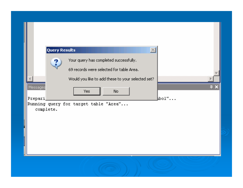| <b>Query Results</b><br>$ \times $<br>Your query has completed successfully.<br>$\overline{\mathbf{r}}$<br>69 records were selected for table Area.<br>Would you like to add these to your selected set?<br>Þ |
|---------------------------------------------------------------------------------------------------------------------------------------------------------------------------------------------------------------|
|                                                                                                                                                                                                               |
| <b>PX</b><br>Messages<br>No.<br>Yes.<br>$\mathbb{h}$ bol"<br>Prepari<br>Running query for target table "Area"<br>complete.                                                                                    |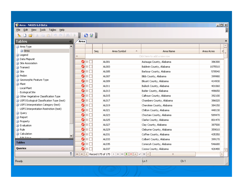| $-10X$<br><b>修 Area - NASIS 6.0 Beta</b>                                                              |                            |                   |     |                                                                                                       |                                   |                 |            |                         |
|-------------------------------------------------------------------------------------------------------|----------------------------|-------------------|-----|-------------------------------------------------------------------------------------------------------|-----------------------------------|-----------------|------------|-------------------------|
| Tables<br>Edit<br>View<br><b>Tools</b><br>Help<br>Eile                                                |                            |                   |     |                                                                                                       |                                   |                 |            | 圓                       |
| S.                                                                                                    |                            |                   |     |                                                                                                       |                                   |                 |            |                         |
| <b>Tables</b><br>≪                                                                                    | Area                       |                   |     |                                                                                                       |                                   |                 |            | $\boldsymbol{\times}$   |
| ۸<br><b>E</b> -Area Type                                                                              |                            |                   |     |                                                                                                       |                                   |                 |            | $\widehat{\phantom{a}}$ |
| + Area                                                                                                |                            |                   | Seq | Area Symbol<br>木                                                                                      | Area Name                         |                 | Area Acres | q<br>$\equiv$           |
| +-Legend                                                                                              |                            |                   |     |                                                                                                       | Click here to add a new row       |                 |            |                         |
| + Data Mapunit                                                                                        | $\bigcirc$ $\boxdot$ [     |                   |     |                                                                                                       |                                   |                 |            |                         |
| El-Site Association                                                                                   |                            |                   |     | AL001                                                                                                 | Autauga County, Alabama           |                 | 386300     |                         |
| <b>+</b> Transect                                                                                     | ۰                          | $\boxplus$ $\Box$ |     | AL003                                                                                                 | Baldwin County, Alabama           |                 | 1075510    |                         |
| + Site                                                                                                | ø                          | Θſ                |     | AL005                                                                                                 | Barbour County, Alabama           |                 | 578540     |                         |
| + Pedon                                                                                               | ۰                          | ⊕                 |     | AL007                                                                                                 | Bibb County, Alabama              |                 | 399980     |                         |
| Geomorphic Feature Type                                                                               | ۰                          | $\overline{+}$    |     | AL009                                                                                                 | Blount County, Alabama            |                 | 414930     |                         |
| <b>+</b> Plant                                                                                        | ø                          | ⊕                 |     | AL011                                                                                                 | Bullock County, Alabama           |                 | 401060     |                         |
| -Local Plant                                                                                          | ø                          | ⊕                 |     | AL013                                                                                                 | Butler County, Alabama            |                 | 498650     |                         |
| <b>Ecological Site</b>                                                                                | ۰                          | $\overline{+}$    |     | AL015                                                                                                 | Calhoun County, Alabama           |                 | 392100     |                         |
| <b>B</b> Other Vegetative Classification Type                                                         | ۰                          |                   |     |                                                                                                       |                                   |                 |            |                         |
| <b>B</b> . USFS Ecological Classification Type (test)<br><b>E</b> USFS Interpretation Category (test) |                            | ⊕                 |     | AL017                                                                                                 | Chambers County, Alabama          |                 | 386020     |                         |
| USFS Interpretation Restriction (test)                                                                | ۰                          | $\overline{+}$    |     | AL019                                                                                                 | Cherokee County, Alabama          |                 | 384150     |                         |
| + Query                                                                                               | ۰                          | $\overline{+}$    |     | AL021                                                                                                 | Chilton County, Alabama           |                 | 448130     |                         |
| <b>E</b> -Report                                                                                      | ۰                          | $\overline{+}$    |     | AL023                                                                                                 | Choctaw County, Alabama           |                 | 589470     |                         |
| <b>+</b> Property                                                                                     | ۰                          | Œ                 |     | AL025                                                                                                 | Clarke County, Alabama            |                 | 801470     |                         |
| Evaluation                                                                                            | ø                          | lo [              |     | AL027                                                                                                 | Clay County, Alabama              |                 | 387500     |                         |
| <b>E</b> -Rule                                                                                        | ۰                          | Θſ                |     | AL029                                                                                                 | Cleburne County, Alabama          |                 | 359010     |                         |
| <b>D</b> -Calculation                                                                                 | ۰                          | $\Box$            |     | AL031                                                                                                 | Coffee County, Alabama            |                 | 435350     |                         |
| Edit Cohun<br>,,,,,,,,                                                                                | ۰                          | $\boxplus$ $\Box$ |     | AL033                                                                                                 | Colbert County, Alabama           |                 | 399170     |                         |
| <b>Tables</b>                                                                                         | ø                          | lo [              |     | AL035                                                                                                 | Conecuh County, Alabama           |                 | 546680     |                         |
| Queries                                                                                               | ۰                          | ⊕                 |     | AL037                                                                                                 | Coosa County, Alabama             |                 | 426480     |                         |
| ÷                                                                                                     | $\blacktriangleleft$<br>КH | $\vert \vert$     |     | Record 175 of 175 $\rightarrow$ $\rightarrow$ $\rightarrow$ $\rightarrow$ $\rightarrow$ $\rightarrow$ | $\times$ $\times$<br>$\mathbb{H}$ |                 |            | $\rightarrow$           |
| Ready.                                                                                                |                            |                   |     |                                                                                                       | Ln 1                              | Ch <sub>1</sub> |            |                         |